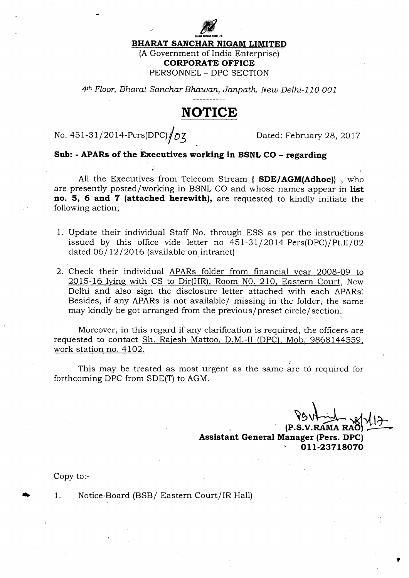## BHARAT SANCHAR NIGAM LIMITED

IHARAT SAMCI

(A Government of India Enterprise) CORPORATE OFFICE PERSONNEL - DPC SECTION

4th Floor, Bharat Sanchar Bhawan, Janpath, New Delhi-110 001

## NOTICE

No. 451-31/2014-Pers(DPC)  $\sqrt{D\zeta}$  Dated: February 28, 2017

.'

## Sub: - APARs of the Executives working in BSNL CO - regarding

All the Executives from Telecom Stream { SDE/AGM(Adhoc)}, who are presently posted/working in BSNL CO and whose names appear in list no. 5, 6 and 7 (attached herewith), are requested to kindly initiate the following action;

- 1. Update their individual Staff No. through ESS as per the instructions issued by this office vide letter no  $451-31/2014$ -Pers(DPC)/Pt.II/02 dated  $06/12/2016$  (available on intranet)
- 2. Check their individual APARs folder from financial year 2008-09 to 2015-16 lying with CS to Dir(HR), Room NO. 210, Eastern Court, New Delhi and also sign the disclosure letter attached with each APARs: Besides, if any APARs is not available/ missing in the folder, the same may kindly be got arranged from the previous/preset circle/section.

Moreover, in this regard if any clarification is required, the officers are requested to contact Sh. Rajesh Mattoo, D.M.-II (DPC), Mob. 9868144559. work station no. 4102.

This may be treated as most urgent as the same are to required for forthcoming DPC from SDE(T) to AGM.

(P.S.V.RAMA I Assistant General Manager (Pers. DPC) 011-23718070

Copy to:-

1. Notice'Board (BSB/ Eastern Court/IR Hall) t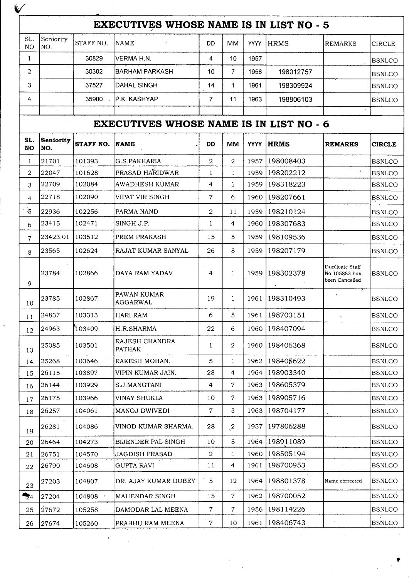| ₩                                              |                  |                  |                                                |                |                |             |             |                                                    |               |  |
|------------------------------------------------|------------------|------------------|------------------------------------------------|----------------|----------------|-------------|-------------|----------------------------------------------------|---------------|--|
| <b>EXECUTIVES WHOSE NAME IS IN LIST NO - 5</b> |                  |                  |                                                |                |                |             |             |                                                    |               |  |
| SL.<br>NO.                                     | Seniority<br>NO. | STAFF NO.        | <b>NAME</b>                                    | DD             | <b>MM</b>      | <b>YYYY</b> | HRMS        | <b>REMARKS</b>                                     | <b>CIRCLE</b> |  |
| 1                                              |                  | 30829            | VERMA H.N.                                     | 4              | 10             | 1957        |             |                                                    | <b>BSNLCO</b> |  |
| $\overline{2}$                                 |                  | 30302            | <b>BARHAM PARKASH</b>                          | 10             | $\overline{7}$ | 1958        | 198012757   |                                                    | <b>BSNLCO</b> |  |
| 3                                              |                  | 37527            | <b>DAHAL SINGH</b>                             | 14             | 1              | 1961        | 198309924   |                                                    | <b>BSNLCO</b> |  |
| 4                                              |                  | 35900            | P.K. KASHYAP                                   | 7              | 11             | 1963        | 198806103   |                                                    | <b>BSNLCO</b> |  |
|                                                | $\epsilon$       |                  | <b>EXECUTIVES WHOSE NAME IS IN LIST NO - 6</b> |                |                |             |             |                                                    |               |  |
| SL.<br><b>NO</b>                               | Seniority<br>NO. | <b>STAFF NO.</b> | <b>NAME</b>                                    | <b>DD</b>      | MМ             | <b>YYYY</b> | <b>HRMS</b> | <b>REMARKS</b>                                     | <b>CIRCLE</b> |  |
| 1                                              | 21701            | 101393           | G.S.PAKHARIA                                   | $\overline{2}$ | $\overline{2}$ | 1957        | 198008403   |                                                    | <b>BSNLCO</b> |  |
| $\overline{2}$                                 | 22047            | 101628           | PRASAD HARIDWAR                                | 1              | 1              | 1959        | 198202212   |                                                    | <b>BSNLCO</b> |  |
| 3                                              | 22709            | 102084           | <b>AWADHESH KUMAR</b>                          | 4              | 1              | 1959        | 198318223   |                                                    | <b>BSNLCO</b> |  |
| $\overline{4}$                                 | 22718            | 102090           | VIPAT VIR SINGH                                | 7              | 6              | 1960        | 198207661   |                                                    | <b>BSNLCO</b> |  |
| $\cdot 5$                                      | 122936           | 102256           | PARMA NAND                                     | $\overline{2}$ | 11             | 1959        | 198210124   |                                                    | <b>BSNLCO</b> |  |
| $\epsilon$<br>6                                | 23415            | 102471           | SINGH J.P.                                     | $\mathbf{1}$   | 4              | 1960        | 198307683   |                                                    | <b>BSNLCO</b> |  |
| 7                                              | 23423.01         | 103512           | <b>PREM PRAKASH</b>                            | 15             | 5              | 1959        | 198109536   |                                                    | <b>BSNLCO</b> |  |
| 8                                              | 23565            | 102624           | RAJAT KUMAR SANYAL                             | 26             | 8              | 1959        | 198207179   |                                                    | <b>BSNLCO</b> |  |
| 9                                              | 23784            | 102866           | DAYA RAM YADAV                                 | 4              | $\mathbf{1}$   | 1959        | 198302378   | Duplicate Staff<br>No.105883 has<br>been Cancelled | Ibsnlco       |  |
| 10                                             | 23785            | 102867           | PAWAN KUMAR<br>AGGARWAL                        | 19             | $\mathbf{1}$   | 1961        | 198310493   |                                                    | <b>BSNLCO</b> |  |
| 11                                             | 24837            | 103313           | HARI RAM                                       | 6              | 5              | 1961        | 198703151   |                                                    | <b>BSNLCO</b> |  |
| 12                                             | 24963            | ነ03409           | H.R.SHARMA                                     | 22             | 6              | 1960        | 198407094   |                                                    | <b>BSNLCO</b> |  |
| 13                                             | 25085            | 103501           | RAJESH CHANDRA<br><b>PATHAK</b>                | 1              | $\overline{2}$ | 1960        | 198406368   |                                                    | <b>BSNLCO</b> |  |
| 14                                             | 25268            | 103646           | RAKESH MOHAN.                                  | 5              | $\mathbf{1}$   | 1962        | 198405622   |                                                    | <b>BSNLCO</b> |  |
| 15                                             | 26115            | 103897           | VIPIN KUMAR JAIN.                              | 28             | $\overline{4}$ | 1964        | 198903340   |                                                    | <b>BSNLCO</b> |  |
| 16                                             | 26144            | 103929           | S.J.MANGTANI                                   | $\overline{4}$ | 7              | 1963        | 198605379   |                                                    | <b>BSNLCO</b> |  |
| 17                                             | 26175            | 103966           | VINAY SHUKLA                                   | 10             | 7              | 1963        | 198905716   |                                                    | <b>BSNLCO</b> |  |
| 18                                             | 26257            | 104061           | MANOJ DWIVEDI                                  | $\overline{7}$ | 3              | 1963        | 198704177   |                                                    | <b>BSNLCO</b> |  |
| 19                                             | 26281            | 104086           | VINOD KUMAR SHARMA.                            | 28             | $\mathcal{L}$  | 1957        | 197806288   |                                                    | <b>BSNLCO</b> |  |
| 20                                             | 26464            | 104273           | <b>BIJENDER PAL SINGH</b>                      | 10             | 5              | 1964        | 198911089   |                                                    | <b>BSNLCO</b> |  |
| 21                                             | 26751            | 104570           | JAGDISH PRASAD                                 | $\overline{a}$ | $\mathbf{1}$   | 1960        | 198505194   |                                                    | <b>BSNLCO</b> |  |
| 22                                             | 26790            | 104608           | <b>GUPTA RAVI</b>                              | 11             | 4              | 1961        | 198700953   |                                                    | <b>BSNLCO</b> |  |
| 23                                             | 27203            | 104807           | DR. AJAY KUMAR DUBEY                           | $\overline{5}$ | 12             | 1964        | 198801378   | Name corrected                                     | <b>BSNLCO</b> |  |
| $\mathbf{z}_4$                                 | 27204            | $104808$ $\cdot$ | MAHENDAR SINGH                                 | 15             | $\overline{7}$ | 1962        | 198700052   |                                                    | <b>BSNLCO</b> |  |
| 25                                             | 27672            | 105258           | DAMODAR LAL MEENA                              | $\overline{7}$ | 7              | 1956        | 198114226   |                                                    | <b>BSNLCO</b> |  |
| 26                                             | 27674]           | 105260           | PRABHU RAM MEENA                               | 7.             | 10             | 1961        | 198406743   |                                                    | <b>BSNLCO</b> |  |

 $\mathcal{L}$ 

 $\frac{1}{\sqrt{2}}$ 

 $\frac{1}{2} \sum_{i=1}^{n} \frac{1}{2} \sum_{j=1}^{n} \frac{1}{2} \sum_{j=1}^{n} \frac{1}{2} \sum_{j=1}^{n} \frac{1}{2} \sum_{j=1}^{n} \frac{1}{2} \sum_{j=1}^{n} \frac{1}{2} \sum_{j=1}^{n} \frac{1}{2} \sum_{j=1}^{n} \frac{1}{2} \sum_{j=1}^{n} \frac{1}{2} \sum_{j=1}^{n} \frac{1}{2} \sum_{j=1}^{n} \frac{1}{2} \sum_{j=1}^{n} \frac{1}{2} \sum_{j=1}^{n$ 

 $\frac{1}{2}$  .